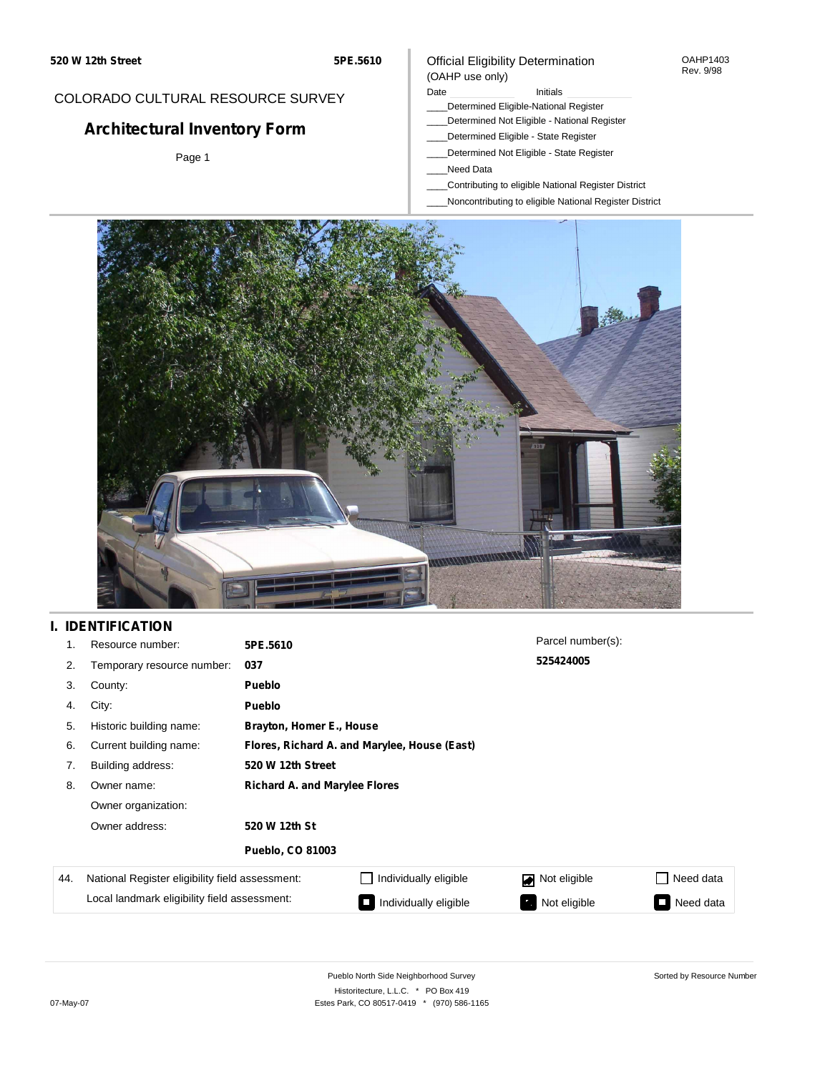#### OAHP1403 Rev. 9/98

## COLORADO CULTURAL RESOURCE SURVEY

# **Architectural Inventory Form**

Page 1

# (OAHP use only)

Official Eligibility Determination

Date **Initials** Initials

- \_\_\_\_Determined Eligible-National Register \_\_\_\_Determined Not Eligible - National Register
- \_\_\_\_Determined Eligible State Register
- \_\_\_\_Determined Not Eligible State Register
- \_\_\_\_Need Data
- \_\_\_\_Contributing to eligible National Register District
- \_\_\_\_Noncontributing to eligible National Register District



## **I. IDENTIFICATION**

| 1.  | Resource number:                                                                                | 5PE.5610                                     |                       | Parcel number(s): |                                          |
|-----|-------------------------------------------------------------------------------------------------|----------------------------------------------|-----------------------|-------------------|------------------------------------------|
| 2.  | Temporary resource number:                                                                      | 037                                          |                       | 525424005         |                                          |
| 3.  | County:                                                                                         | Pueblo                                       |                       |                   |                                          |
| 4.  | City:                                                                                           | Pueblo                                       |                       |                   |                                          |
| 5.  | Historic building name:                                                                         | Brayton, Homer E., House                     |                       |                   |                                          |
| 6.  | Current building name:                                                                          | Flores, Richard A. and Marylee, House (East) |                       |                   |                                          |
| 7.  | Building address:                                                                               | 520 W 12th Street                            |                       |                   |                                          |
| 8.  | Owner name:                                                                                     | <b>Richard A. and Marylee Flores</b>         |                       |                   |                                          |
|     | Owner organization:                                                                             |                                              |                       |                   |                                          |
|     | Owner address:<br>520 W 12th St<br><b>Pueblo, CO 81003</b>                                      |                                              |                       |                   |                                          |
|     |                                                                                                 |                                              |                       |                   |                                          |
| 44. | National Register eligibility field assessment:<br>Local landmark eligibility field assessment: |                                              | Individually eligible | Not eligible      | Need data                                |
|     |                                                                                                 |                                              | Individually eligible | Not eligible      | Need data<br>$\mathcal{L}_{\mathcal{A}}$ |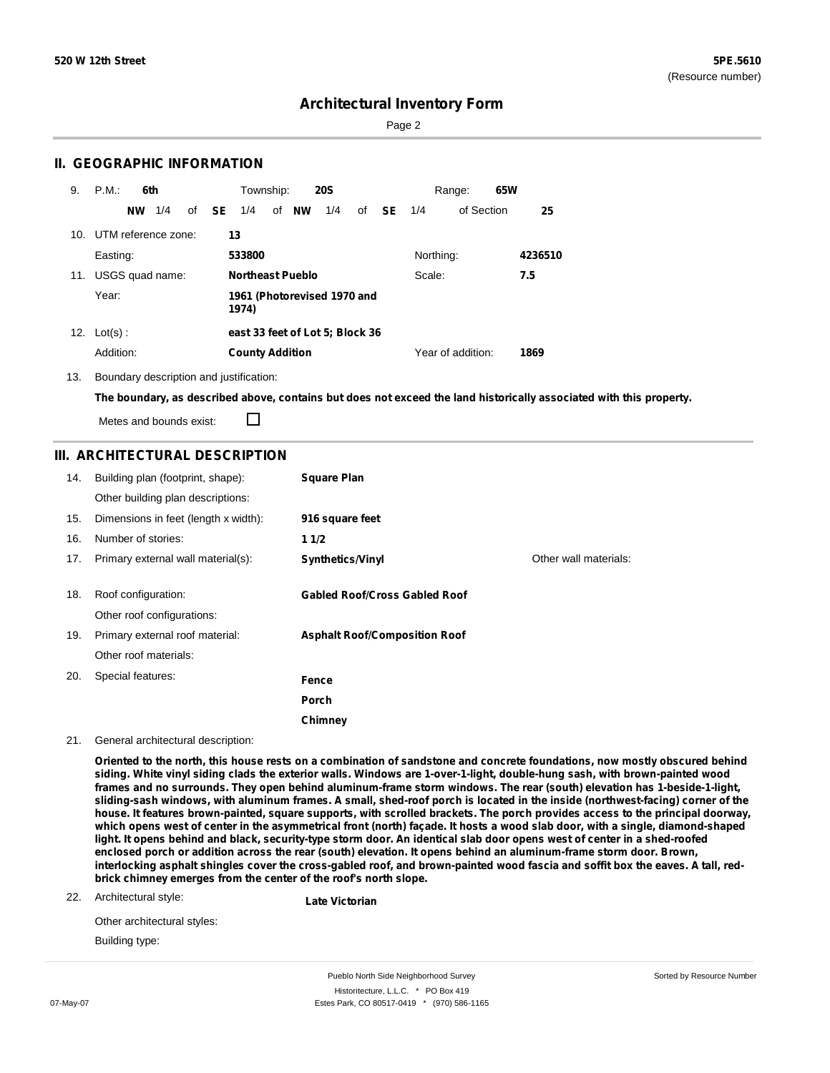Sorted by Resource Number

## **Architectural Inventory Form**

Page 2

### **II. GEOGRAPHIC INFORMATION**

| 9.  | P.M.<br>6th         | Township:<br><b>20S</b><br>Range:                                                  | 65W     |
|-----|---------------------|------------------------------------------------------------------------------------|---------|
|     | 1/4<br><b>NW</b>    | of <b>NW</b><br>1/4<br>of <b>SE</b><br>1/4<br><b>SE</b><br>of Section<br>of<br>1/4 | 25      |
| 10. | UTM reference zone: | 13                                                                                 |         |
|     | Easting:            | Northing:<br>533800                                                                | 4236510 |
| 11. | USGS quad name:     | <b>Northeast Pueblo</b><br>Scale:                                                  | 7.5     |
|     | Year:               | 1961 (Photorevised 1970 and<br>1974)                                               |         |
| 12. | $Lot(s)$ :          | east 33 feet of Lot 5; Block 36                                                    |         |
|     | Addition:           | Year of addition:<br><b>County Addition</b>                                        | 1869    |

13. Boundary description and justification:

The boundary, as described above, contains but does not exceed the land historically associated with this property.

Metes and bounds exist:

П

### **III. ARCHITECTURAL DESCRIPTION**

| 14. | Building plan (footprint, shape):<br>Other building plan descriptions: | <b>Square Plan</b>                   |                       |
|-----|------------------------------------------------------------------------|--------------------------------------|-----------------------|
| 15. | Dimensions in feet (length x width):                                   | 916 square feet                      |                       |
| 16. | Number of stories:                                                     | 11/2                                 |                       |
| 17. | Primary external wall material(s):                                     | <b>Synthetics/Vinyl</b>              | Other wall materials: |
|     |                                                                        |                                      |                       |
| 18. | Roof configuration:                                                    | <b>Gabled Roof/Cross Gabled Roof</b> |                       |
|     | Other roof configurations:                                             |                                      |                       |
| 19. | Primary external roof material:                                        | <b>Asphalt Roof/Composition Roof</b> |                       |
|     | Other roof materials:                                                  |                                      |                       |
| 20. | Special features:                                                      | Fence                                |                       |
|     |                                                                        | Porch                                |                       |
|     |                                                                        | Chimney                              |                       |

21. General architectural description:

Oriented to the north, this house rests on a combination of sandstone and concrete foundations, now mostly obscured behind siding. White vinyl siding clads the exterior walls. Windows are 1-over-1-light, double-hung sash, with brown-painted wood frames and no surrounds. They open behind aluminum-frame storm windows. The rear (south) elevation has 1-beside-1-light, sliding-sash windows, with aluminum frames. A small, shed-roof porch is located in the inside (northwest-facing) corner of the house. It features brown-painted, square supports, with scrolled brackets. The porch provides access to the principal doorway, which opens west of center in the asymmetrical front (north) façade. It hosts a wood slab door, with a single, diamond-shaped light. It opens behind and black, security-type storm door. An identical slab door opens west of center in a shed-roofed enclosed porch or addition across the rear (south) elevation. It opens behind an aluminum-frame storm door. Brown, interlocking asphalt shingles cover the cross-gabled roof, and brown-painted wood fascia and soffit box the eaves. A tall, red**brick chimney emerges from the center of the roof's north slope.**

22. Architectural style:

**Late Victorian**

Other architectural styles: Building type:

Pueblo North Side Neighborhood Survey Historitecture, L.L.C. \* PO Box 419 07-May-07 **Estes Park, CO 80517-0419** \* (970) 586-1165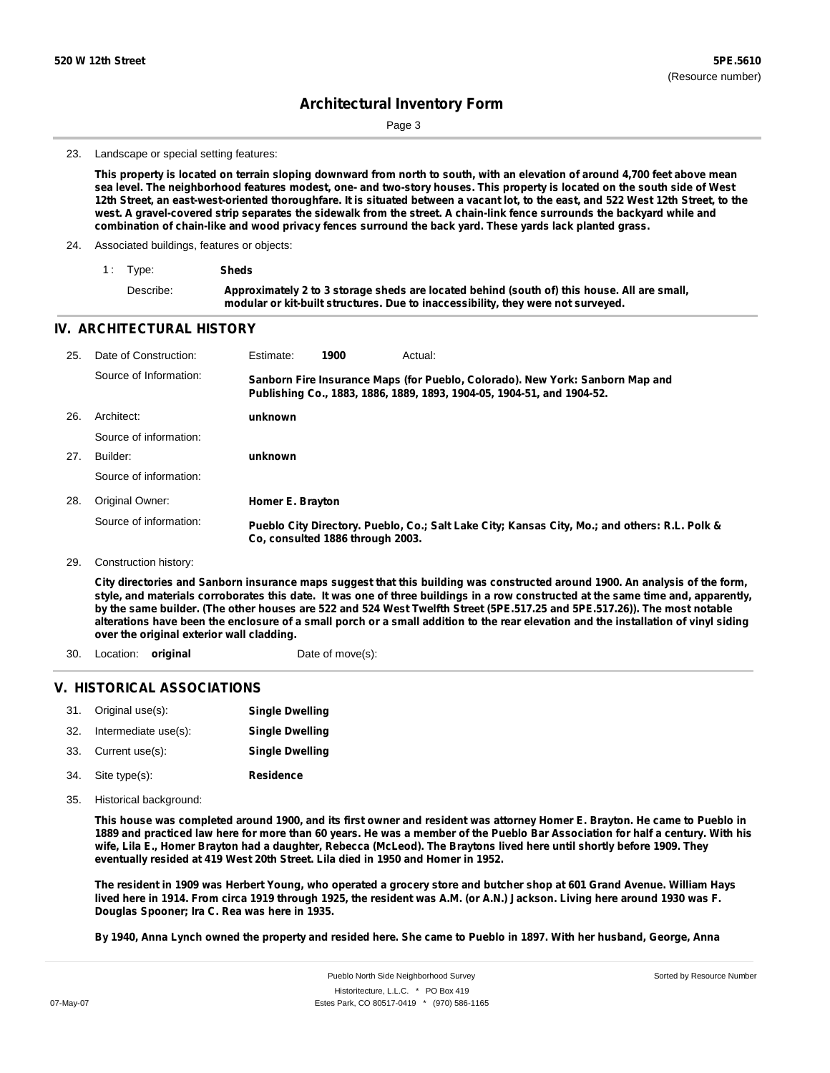Page 3

#### 23. Landscape or special setting features:

This property is located on terrain sloping downward from north to south, with an elevation of around 4,700 feet above mean sea level. The neighborhood features modest, one- and two-story houses. This property is located on the south side of West 12th Street, an east-west-oriented thoroughfare. It is situated between a vacant lot, to the east, and 522 West 12th Street, to the west. A gravel-covered strip separates the sidewalk from the street. A chain-link fence surrounds the backyard while and **combination of chain-like and wood privacy fences surround the back yard. These yards lack planted grass.**

24. Associated buildings, features or objects:

| 1 Type:   | Sheds                                                                                                                                                                           |
|-----------|---------------------------------------------------------------------------------------------------------------------------------------------------------------------------------|
| Describe: | Approximately 2 to 3 storage sheds are located behind (south of) this house. All are small,<br>modular or kit-built structures. Due to inaccessibility, they were not surveyed. |

### **IV. ARCHITECTURAL HISTORY**

| 25. | Date of Construction:  | Estimate:        | 1900                             | Actual:                                                                                                                                                 |
|-----|------------------------|------------------|----------------------------------|---------------------------------------------------------------------------------------------------------------------------------------------------------|
|     | Source of Information: |                  |                                  | Sanborn Fire Insurance Maps (for Pueblo, Colorado). New York: Sanborn Map and<br>Publishing Co., 1883, 1886, 1889, 1893, 1904-05, 1904-51, and 1904-52. |
| 26. | Architect:             | unknown          |                                  |                                                                                                                                                         |
|     | Source of information: |                  |                                  |                                                                                                                                                         |
| 27. | Builder:               | unknown          |                                  |                                                                                                                                                         |
|     | Source of information: |                  |                                  |                                                                                                                                                         |
| 28. | Original Owner:        | Homer E. Brayton |                                  |                                                                                                                                                         |
|     | Source of information: |                  | Co. consulted 1886 through 2003. | Pueblo City Directory. Pueblo, Co.; Salt Lake City; Kansas City, Mo.; and others: R.L. Polk &                                                           |

#### 29. Construction history:

City directories and Sanborn insurance maps suggest that this building was constructed around 1900. An analysis of the form, style, and materials corroborates this date. It was one of three buildings in a row constructed at the same time and, apparently, by the same builder. (The other houses are 522 and 524 West Twelfth Street (5PE.517.25 and 5PE.517.26)). The most notable alterations have been the enclosure of a small porch or a small addition to the rear elevation and the installation of vinyl siding **over the original exterior wall cladding.**

- 30. Location: **original Date of move(s):**
- 

### **V. HISTORICAL ASSOCIATIONS**

|     | 31. Original use(s): | <b>Single Dwelling</b> |
|-----|----------------------|------------------------|
| 32. | Intermediate use(s): | <b>Single Dwelling</b> |
|     | 33. Current use(s):  | <b>Single Dwelling</b> |
|     | 34. Site type(s):    | <b>Residence</b>       |

35. Historical background:

This house was completed around 1900, and its first owner and resident was attorney Homer E. Brayton. He came to Pueblo in 1889 and practiced law here for more than 60 years. He was a member of the Pueblo Bar Association for half a century. With his wife, Lila E., Homer Brayton had a daughter, Rebecca (McLeod). The Braytons lived here until shortly before 1909. They **eventually resided at 419 West 20th Street. Lila died in 1950 and Homer in 1952.**

The resident in 1909 was Herbert Young, who operated a grocery store and butcher shop at 601 Grand Avenue. William Hays lived here in 1914. From circa 1919 through 1925, the resident was A.M. (or A.N.) Jackson. Living here around 1930 was F. **Douglas Spooner; Ira C. Rea was here in 1935.**

By 1940, Anna Lynch owned the property and resided here. She came to Pueblo in 1897. With her husband, George, Anna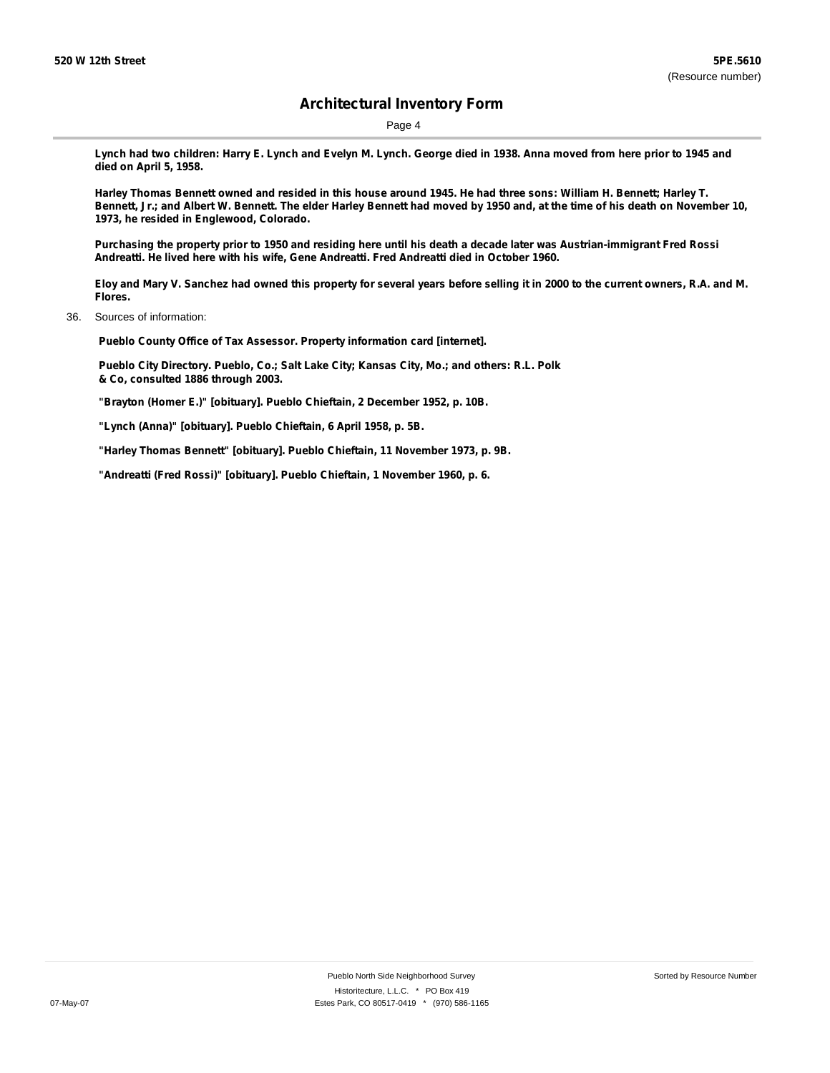Page 4

Lynch had two children: Harry E. Lynch and Evelyn M. Lynch. George died in 1938. Anna moved from here prior to 1945 and **died on April 5, 1958.**

Harley Thomas Bennett owned and resided in this house around 1945. He had three sons: William H. Bennett; Harley T. Bennett, Jr.; and Albert W. Bennett. The elder Harley Bennett had moved by 1950 and, at the time of his death on November 10, **1973, he resided in Englewood, Colorado.**

Purchasing the property prior to 1950 and residing here until his death a decade later was Austrian-immigrant Fred Rossi **Andreatti. He lived here with his wife, Gene Andreatti. Fred Andreatti died in October 1960.**

Eloy and Mary V. Sanchez had owned this property for several years before selling it in 2000 to the current owners, R.A. and M. **Flores.**

36. Sources of information:

**Pueblo County Office of Tax Assessor. Property information card [internet].**

**Pueblo City Directory. Pueblo, Co.; Salt Lake City; Kansas City, Mo.; and others: R.L. Polk & Co, consulted 1886 through 2003.**

**"Brayton (Homer E.)" [obituary]. Pueblo Chieftain, 2 December 1952, p. 10B.**

**"Lynch (Anna)" [obituary]. Pueblo Chieftain, 6 April 1958, p. 5B.**

**"Harley Thomas Bennett" [obituary]. Pueblo Chieftain, 11 November 1973, p. 9B.**

**"Andreatti (Fred Rossi)" [obituary]. Pueblo Chieftain, 1 November 1960, p. 6.**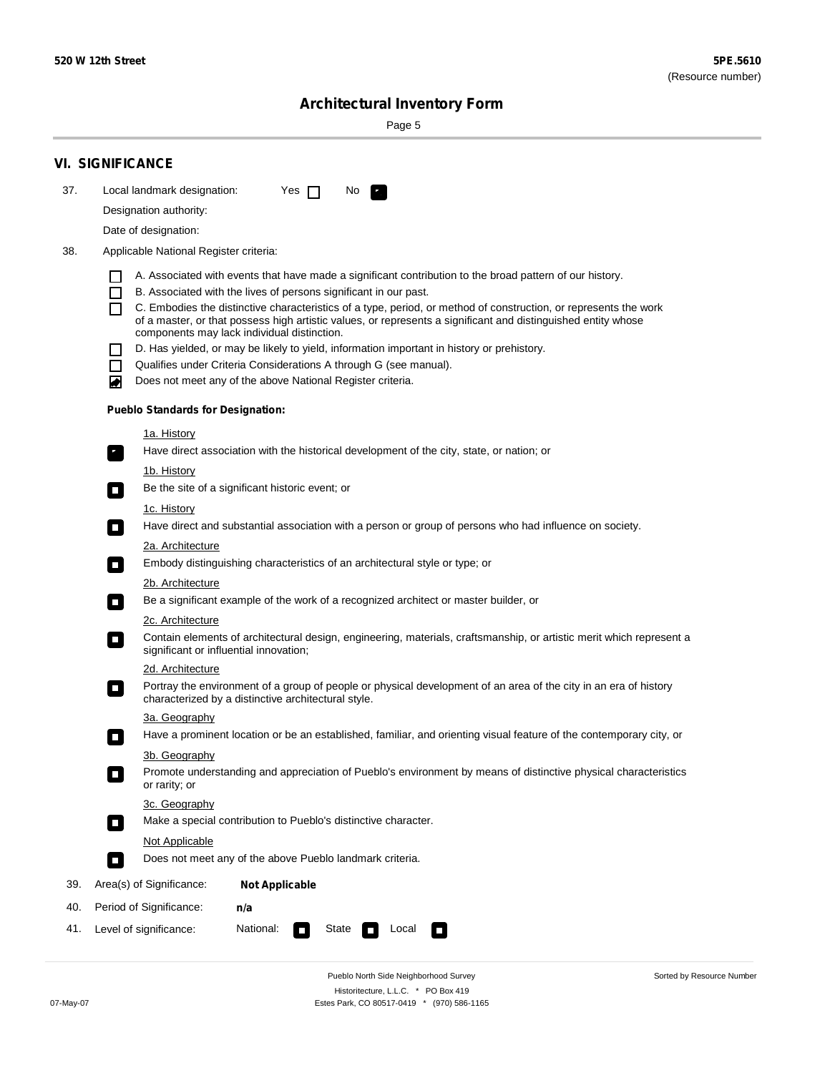Sorted by Resource Number

# **Architectural Inventory Form**

Page 5

|     | <b>VI. SIGNIFICANCE</b>                                                                                                                                                                        |  |  |  |  |
|-----|------------------------------------------------------------------------------------------------------------------------------------------------------------------------------------------------|--|--|--|--|
| 37. | Local landmark designation:<br>Yes $\Box$<br>No.<br>HE 2                                                                                                                                       |  |  |  |  |
|     | Designation authority:                                                                                                                                                                         |  |  |  |  |
|     | Date of designation:                                                                                                                                                                           |  |  |  |  |
| 38. | Applicable National Register criteria:                                                                                                                                                         |  |  |  |  |
|     |                                                                                                                                                                                                |  |  |  |  |
|     | A. Associated with events that have made a significant contribution to the broad pattern of our history.<br>B. Associated with the lives of persons significant in our past.<br>$\blacksquare$ |  |  |  |  |
|     | C. Embodies the distinctive characteristics of a type, period, or method of construction, or represents the work<br>П                                                                          |  |  |  |  |
|     | of a master, or that possess high artistic values, or represents a significant and distinguished entity whose<br>components may lack individual distinction.                                   |  |  |  |  |
|     | D. Has yielded, or may be likely to yield, information important in history or prehistory.                                                                                                     |  |  |  |  |
|     | Qualifies under Criteria Considerations A through G (see manual).<br>$\sim$                                                                                                                    |  |  |  |  |
|     | Does not meet any of the above National Register criteria.<br>₩                                                                                                                                |  |  |  |  |
|     | <b>Pueblo Standards for Designation:</b>                                                                                                                                                       |  |  |  |  |
|     | 1a. History                                                                                                                                                                                    |  |  |  |  |
|     | Have direct association with the historical development of the city, state, or nation; or<br>$\mathbf{r}_\perp$                                                                                |  |  |  |  |
|     | 1b. History                                                                                                                                                                                    |  |  |  |  |
|     | Be the site of a significant historic event; or<br>$\blacksquare$                                                                                                                              |  |  |  |  |
|     | 1c. History                                                                                                                                                                                    |  |  |  |  |
|     | Have direct and substantial association with a person or group of persons who had influence on society.<br>$\overline{\phantom{a}}$                                                            |  |  |  |  |
|     | 2a. Architecture<br>Embody distinguishing characteristics of an architectural style or type; or<br>$\mathcal{L}_{\mathcal{A}}$                                                                 |  |  |  |  |
|     | <u>2b. Architecture</u>                                                                                                                                                                        |  |  |  |  |
|     | Be a significant example of the work of a recognized architect or master builder, or<br>$\Box$                                                                                                 |  |  |  |  |
|     | 2c. Architecture                                                                                                                                                                               |  |  |  |  |
|     | Contain elements of architectural design, engineering, materials, craftsmanship, or artistic merit which represent a<br>$\Box$<br>significant or influential innovation;                       |  |  |  |  |
|     | 2d. Architecture                                                                                                                                                                               |  |  |  |  |
|     | Portray the environment of a group of people or physical development of an area of the city in an era of history<br>$\Box$<br>characterized by a distinctive architectural style.              |  |  |  |  |
|     | 3a. Geography                                                                                                                                                                                  |  |  |  |  |
|     | Have a prominent location or be an established, familiar, and orienting visual feature of the contemporary city, or                                                                            |  |  |  |  |
|     | 3b. Geography                                                                                                                                                                                  |  |  |  |  |
|     | Promote understanding and appreciation of Pueblo's environment by means of distinctive physical characteristics<br>or rarity; or                                                               |  |  |  |  |
|     | 3c. Geography                                                                                                                                                                                  |  |  |  |  |
|     | Make a special contribution to Pueblo's distinctive character.<br>$\Box$                                                                                                                       |  |  |  |  |
|     | <b>Not Applicable</b>                                                                                                                                                                          |  |  |  |  |
|     | Does not meet any of the above Pueblo landmark criteria.<br>$\overline{\phantom{a}}$                                                                                                           |  |  |  |  |
| 39. | Area(s) of Significance:<br><b>Not Applicable</b>                                                                                                                                              |  |  |  |  |
| 40. | Period of Significance:<br>n/a                                                                                                                                                                 |  |  |  |  |
| 41. | National:<br>Level of significance:<br>State<br>Local<br>$\Box$<br>□                                                                                                                           |  |  |  |  |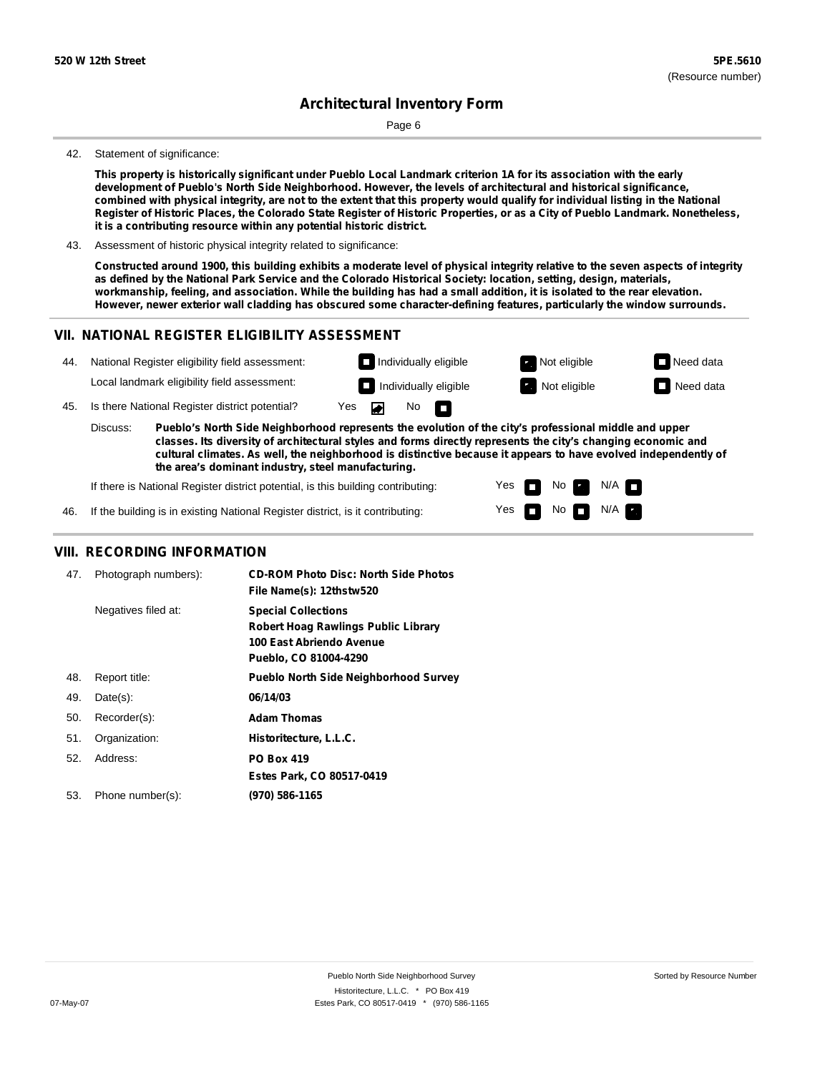Page 6

#### 42. Statement of significance:

This property is historically significant under Pueblo Local Landmark criterion 1A for its association with the early **development of Pueblo's North Side Neighborhood. However, the levels of architectural and historical significance,** combined with physical integrity, are not to the extent that this property would qualify for individual listing in the National Register of Historic Places, the Colorado State Register of Historic Properties, or as a City of Pueblo Landmark. Nonetheless, **it is a contributing resource within any potential historic district.**

43. Assessment of historic physical integrity related to significance:

Constructed around 1900, this building exhibits a moderate level of physical integrity relative to the seven aspects of integrity as defined by the National Park Service and the Colorado Historical Society: location, setting, design, materials, workmanship, feeling, and association. While the building has had a small addition, it is isolated to the rear elevation. **However, newer exterior wall cladding has obscured some character-defining features, particularly the window surrounds.**

### **VII. NATIONAL REGISTER ELIGIBILITY ASSESSMENT**



**the area's dominant industry, steel manufacturing.**

If there is National Register district potential, is this building contributing: Yes No  $N/A$ n If the building is in existing National Register district, is it contributing: Yes  $No$   $N/A$ 

### **VIII. RECORDING INFORMATION**

| 47. | Photograph numbers): | <b>CD-ROM Photo Disc: North Side Photos</b><br>File Name(s): 12thstw520                                                       |
|-----|----------------------|-------------------------------------------------------------------------------------------------------------------------------|
|     | Negatives filed at:  | <b>Special Collections</b><br><b>Robert Hoag Rawlings Public Library</b><br>100 East Abriendo Avenue<br>Pueblo, CO 81004-4290 |
| 48. | Report title:        | Pueblo North Side Neighborhood Survey                                                                                         |
| 49. | $Date(s)$ :          | 06/14/03                                                                                                                      |
| 50. | Recorder(s):         | <b>Adam Thomas</b>                                                                                                            |
| 51. | Organization:        | Historitecture, L.L.C.                                                                                                        |
| 52. | Address:             | <b>PO Box 419</b>                                                                                                             |
|     |                      | Estes Park, CO 80517-0419                                                                                                     |
| 53. | Phone number(s):     | (970) 586-1165                                                                                                                |

46.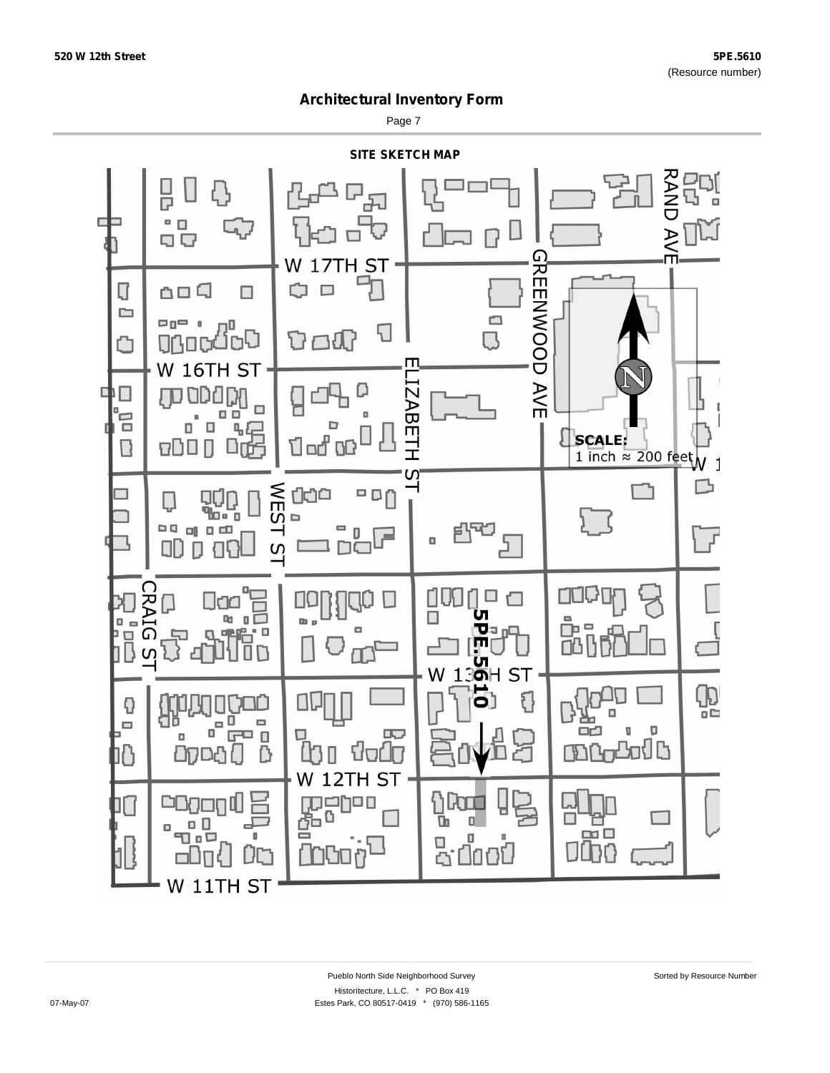Page 7